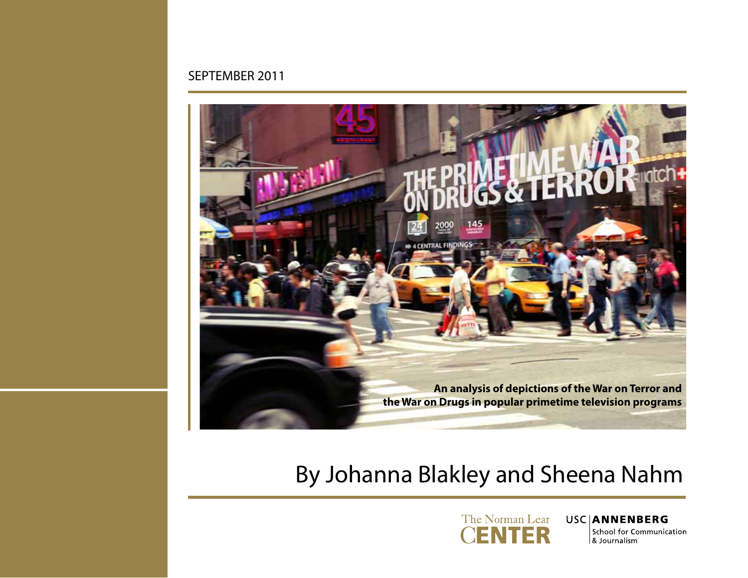#### SEPTEMBER 2011



# By Johanna Blakley and Sheena Nahm



#### **USCIANNENBERG** School for Communication & Journalism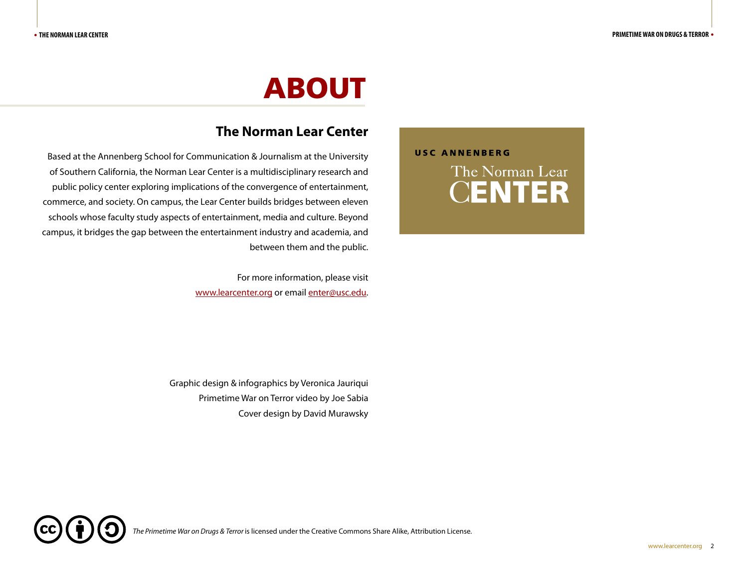# ABOUT

#### **The Norman Lear Center**

Based at the Annenberg School for Communication & Journalism at the University of Southern California, the Norman Lear Center is a multidisciplinary research and public policy center exploring implications of the convergence of entertainment, commerce, and society. On campus, the Lear Center builds bridges between eleven schools whose faculty study aspects of entertainment, media and culture. Beyond campus, it bridges the gap between the entertainment industry and academia, and between them and the public.

> For more information, please visit www.learcenter.org or email enter@usc.edu.

Graphic design & infographics by Veronica Jauriqui Primetime War on Terror video by Joe Sabia Cover design by David Murawsky

*The Primetime War on Drugs & Terror* is licensed under the Creative Commons Share Alike, Attribution License.



**USC ANNENBERG**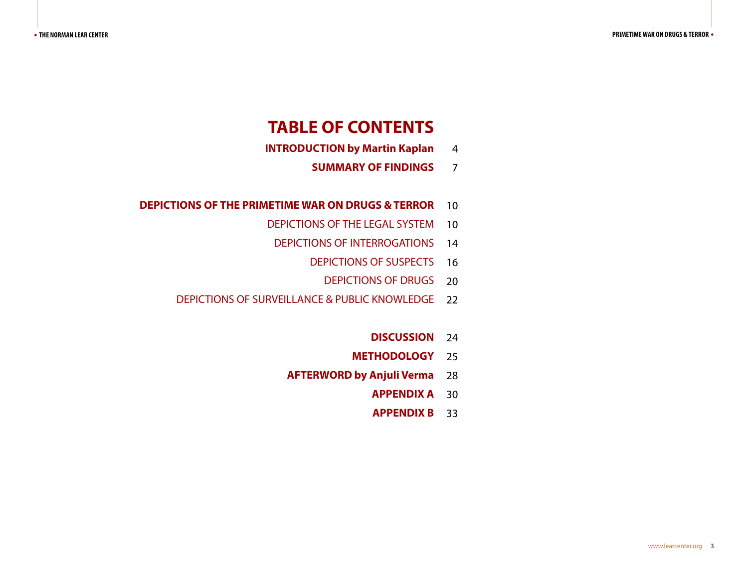### **TABLE OF CONTENTS**

- 4 **INTRODUCTION by Martin Kaplan**
	- 7 **SUMMARY OF FINDINGS**
- **DEPICTIONS OF THE PRIMETIME WAR ON DRUGS & TERROR 10** 
	- DEPICTIONS OF THE LEGAL SYSTEM 10
		- DEPICTIONS OF INTERROGATIONS 14
			- DEPICTIONS OF SUSPECTS 16
				- DEPICTIONS OF DRUGS 20
	- 22 DEPICTIONS OF SURVEILLANCE & PUBLIC KNOWLEDGE
		- 24 **DISCUSSION**
		- 25 **METHODOLOGY**
		- 28 **AFTERWORD by Anjuli Verma**
			- 30 **APPENDIX A**
			- 33 **APPENDIX B**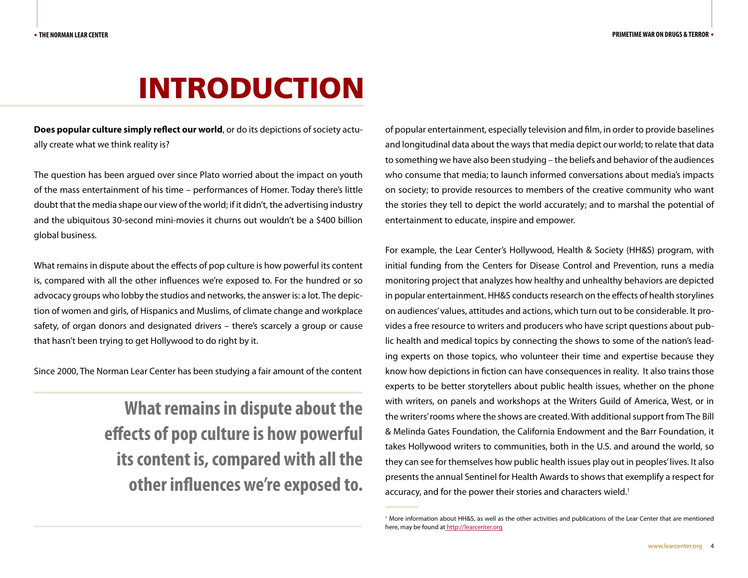# INTRODUCTION

**Does popular culture simply reflect our world**, or do its depictions of society actually create what we think reality is?

The question has been argued over since Plato worried about the impact on youth of the mass entertainment of his time – performances of Homer. Today there's little doubt that the media shape our view of the world; if it didn't, the advertising industry and the ubiquitous 30-second mini-movies it churns out wouldn't be a \$400 billion global business.

What remains in dispute about the effects of pop culture is how powerful its content is, compared with all the other influences we're exposed to. For the hundred or so advocacy groups who lobby the studios and networks, the answer is: a lot. The depiction of women and girls, of Hispanics and Muslims, of climate change and workplace safety, of organ donors and designated drivers – there's scarcely a group or cause that hasn't been trying to get Hollywood to do right by it.

Since 2000, The Norman Lear Center has been studying a fair amount of the content

**What remains in dispute about the effects of pop culture is how powerful its content is, compared with all the other influences we're exposed to.** 

of popular entertainment, especially television and film, in order to provide baselines and longitudinal data about the ways that media depict our world; to relate that data to something we have also been studying – the beliefs and behavior of the audiences who consume that media; to launch informed conversations about media's impacts on society; to provide resources to members of the creative community who want the stories they tell to depict the world accurately; and to marshal the potential of entertainment to educate, inspire and empower.

For example, the Lear Center's Hollywood, Health & Society (HH&S) program, with initial funding from the Centers for Disease Control and Prevention, runs a media monitoring project that analyzes how healthy and unhealthy behaviors are depicted in popular entertainment. HH&S conducts research on the effects of health storylines on audiences' values, attitudes and actions, which turn out to be considerable. It provides a free resource to writers and producers who have script questions about public health and medical topics by connecting the shows to some of the nation's leading experts on those topics, who volunteer their time and expertise because they know how depictions in fiction can have consequences in reality. It also trains those experts to be better storytellers about public health issues, whether on the phone with writers, on panels and workshops at the Writers Guild of America, West, or in the writers' rooms where the shows are created. With additional support from The Bill & Melinda Gates Foundation, the California Endowment and the Barr Foundation, it takes Hollywood writers to communities, both in the U.S. and around the world, so they can see for themselves how public health issues play out in peoples' lives. It also presents the annual Sentinel for Health Awards to shows that exemplify a respect for accuracy, and for the power their stories and characters wield.<sup>1</sup>

<sup>1</sup> More information about HH&S, as well as the other activities and publications of the Lear Center that are mentioned here, may be found at http://learcenter.org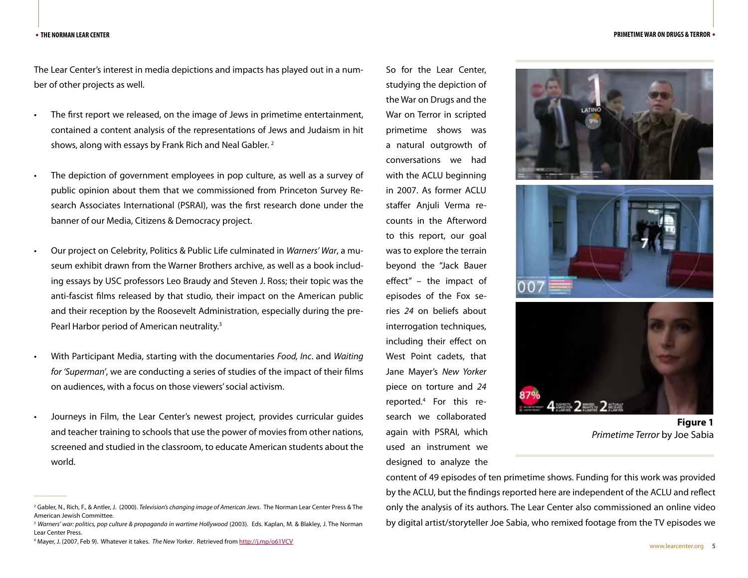The Lear Center's interest in media depictions and impacts has played out in a number of other projects as well.

- The first report we released, on the image of Jews in primetime entertainment, contained a content analysis of the representations of Jews and Judaism in hit shows, along with essays by Frank Rich and Neal Gabler.  $2$
- The depiction of government employees in pop culture, as well as a survey of public opinion about them that we commissioned from Princeton Survey Research Associates International (PSRAI), was the first research done under the banner of our Media, Citizens & Democracy project.
- Our project on Celebrity, Politics & Public Life culminated in *Warners' War*, a museum exhibit drawn from the Warner Brothers archive, as well as a book including essays by USC professors Leo Braudy and Steven J. Ross; their topic was the anti-fascist films released by that studio, their impact on the American public and their reception by the Roosevelt Administration, especially during the pre-Pearl Harbor period of American neutrality.<sup>3</sup>
- • With Participant Media, starting with the documentaries *Food, Inc*. and *Waiting for 'Superman'*, we are conducting a series of studies of the impact of their films on audiences, with a focus on those viewers' social activism.
- Journeys in Film, the Lear Center's newest project, provides curricular guides and teacher training to schools that use the power of movies from other nations, screened and studied in the classroom, to educate American students about the world.

So for the Lear Center, studying the depiction of the War on Drugs and the War on Terror in scripted primetime shows was a natural outgrowth of conversations we had with the ACLU beginning in 2007. As former ACLU staffer Anjuli Verma recounts in the Afterword to this report, our goal was to explore the terrain beyond the "Jack Bauer effect" – the impact of episodes of the Fox series *24* on beliefs about interrogation techniques, including their effect on West Point cadets, that Jane Mayer's *New Yorker* piece on torture and *24* reported.4 For this research we collaborated again with PSRAI, which used an instrument we designed to analyze the







**Figure 1** *Primetime Terror* by Joe Sabia

content of 49 episodes of ten primetime shows. Funding for this work was provided by the ACLU, but the findings reported here are independent of the ACLU and reflect only the analysis of its authors. The Lear Center also commissioned an online video by digital artist/storyteller Joe Sabia, who remixed footage from the TV episodes we

<sup>2</sup> Gabler, N., Rich, F., & Antler, J. (2000). *Television's changing image of American Jews*. The Norman Lear Center Press & The American Jewish Committee.

<sup>&</sup>lt;sup>3</sup> Warners' war: politics, pop culture & propaganda in wartime Hollywood (2003). Eds. Kaplan, M. & Blakley, J. The Norman Lear Center Press.

<sup>4</sup> Mayer, J. (2007, Feb 9). Whatever it takes. *The New Yorker*. Retrieved from http://j.mp/o61VCV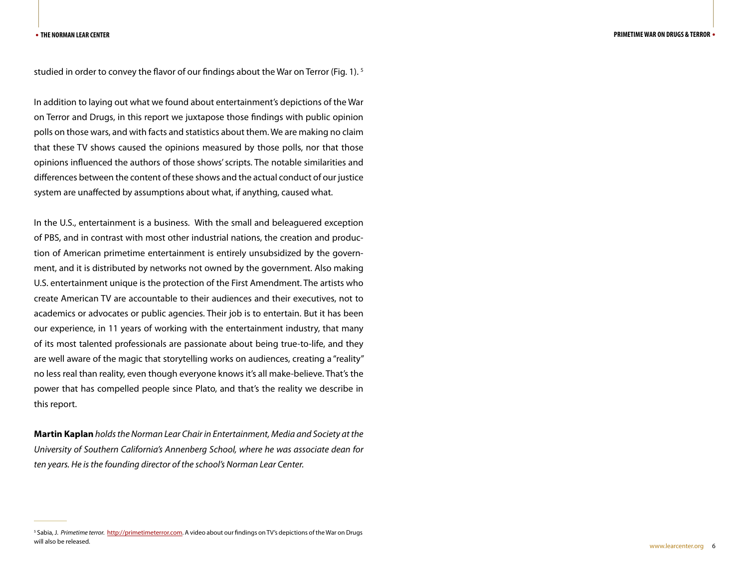studied in order to convey the flavor of our findings about the War on Terror (Fig. 1).<sup>5</sup>

In addition to laying out what we found about entertainment's depictions of the War on Terror and Drugs, in this report we juxtapose those findings with public opinion polls on those wars, and with facts and statistics about them. We are making no claim that these TV shows caused the opinions measured by those polls, nor that those opinions influenced the authors of those shows' scripts. The notable similarities and differences between the content of these shows and the actual conduct of our justice system are unaffected by assumptions about what, if anything, caused what.

In the U.S., entertainment is a business. With the small and beleaguered exception of PBS, and in contrast with most other industrial nations, the creation and production of American primetime entertainment is entirely unsubsidized by the government, and it is distributed by networks not owned by the government. Also making U.S. entertainment unique is the protection of the First Amendment. The artists who create American TV are accountable to their audiences and their executives, not to academics or advocates or public agencies. Their job is to entertain. But it has been our experience, in 11 years of working with the entertainment industry, that many of its most talented professionals are passionate about being true-to-life, and they are well aware of the magic that storytelling works on audiences, creating a "reality" no less real than reality, even though everyone knows it's all make-believe. That's the power that has compelled people since Plato, and that's the reality we describe in this report.

**Martin Kaplan** *holds the Norman Lear Chair in Entertainment, Media and Society at the University of Southern California's Annenberg School, where he was associate dean for ten years. He is the founding director of the school's Norman Lear Center.*

<sup>&</sup>lt;sup>5</sup> Sabia, J. *Primetime terror*. <u>http://primetimeterror.com</u>. A video about our findings on TV's depictions of the War on Drugs will also be released.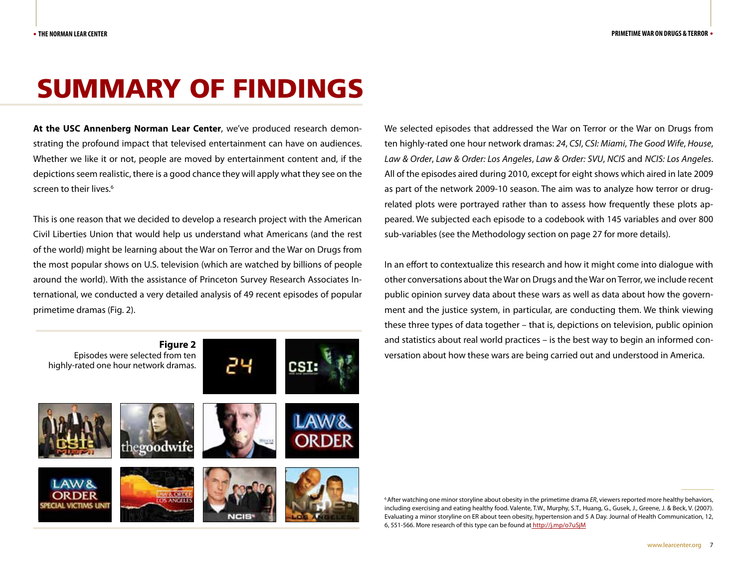# SUMMARY OF FINDINGS

**At the USC Annenberg Norman Lear Center**, we've produced research demonstrating the profound impact that televised entertainment can have on audiences. Whether we like it or not, people are moved by entertainment content and, if the depictions seem realistic, there is a good chance they will apply what they see on the screen to their lives.<sup>6</sup>

This is one reason that we decided to develop a research project with the American Civil Liberties Union that would help us understand what Americans (and the rest of the world) might be learning about the War on Terror and the War on Drugs from the most popular shows on U.S. television (which are watched by billions of people around the world). With the assistance of Princeton Survey Research Associates International, we conducted a very detailed analysis of 49 recent episodes of popular primetime dramas (Fig. 2).



We selected episodes that addressed the War on Terror or the War on Drugs from ten highly-rated one hour network dramas: *24*, *CSI*, *CSI: Miami*, *The Good Wife*, *House*, *Law & Order*, *Law & Order: Los Angeles*, *Law & Order: SVU*, *NCIS* and *NCIS: Los Angeles*. All of the episodes aired during 2010, except for eight shows which aired in late 2009 as part of the network 2009-10 season. The aim was to analyze how terror or drugrelated plots were portrayed rather than to assess how frequently these plots appeared. We subjected each episode to a codebook with 145 variables and over 800 sub-variables (see the Methodology section on page 27 for more details).

In an effort to contextualize this research and how it might come into dialogue with other conversations about the War on Drugs and the War on Terror, we include recent public opinion survey data about these wars as well as data about how the government and the justice system, in particular, are conducting them. We think viewing these three types of data together – that is, depictions on television, public opinion and statistics about real world practices – is the best way to begin an informed conversation about how these wars are being carried out and understood in America.

6 After watching one minor storyline about obesity in the primetime drama *ER*, viewers reported more healthy behaviors, including exercising and eating healthy food. Valente, T.W., Murphy, S.T., Huang, G., Gusek, J., Greene, J. & Beck, V. (2007). Evaluating a minor storyline on ER about teen obesity, hypertension and 5 A Day. Journal of Health Communication, 12, 6, 551-566. More research of this type can be found at http://j.mp/o7uSjM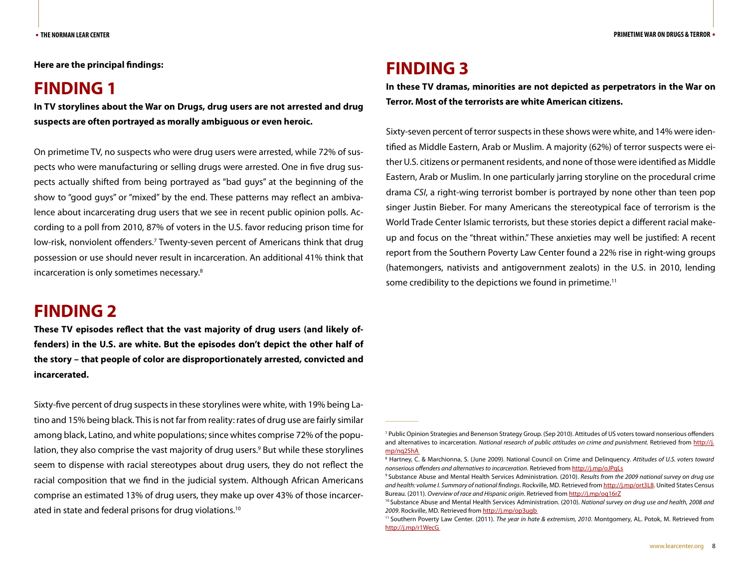**Here are the principal findings:** 

#### **FINDING 1**

**In TV storylines about the War on Drugs, drug users are not arrested and drug suspects are often portrayed as morally ambiguous or even heroic.**

On primetime TV, no suspects who were drug users were arrested, while 72% of suspects who were manufacturing or selling drugs were arrested. One in five drug suspects actually shifted from being portrayed as "bad guys" at the beginning of the show to "good guys" or "mixed" by the end. These patterns may reflect an ambivalence about incarcerating drug users that we see in recent public opinion polls. According to a poll from 2010, 87% of voters in the U.S. favor reducing prison time for low-risk, nonviolent offenders.<sup>7</sup> Twenty-seven percent of Americans think that drug possession or use should never result in incarceration. An additional 41% think that incarceration is only sometimes necessary.8

#### **FINDING 2**

**These TV episodes reflect that the vast majority of drug users (and likely offenders) in the U.S. are white. But the episodes don't depict the other half of the story – that people of color are disproportionately arrested, convicted and incarcerated.** 

Sixty-five percent of drug suspects in these storylines were white, with 19% being Latino and 15% being black. This is not far from reality: rates of drug use are fairly similar among black, Latino, and white populations; since whites comprise 72% of the population, they also comprise the vast majority of drug users.<sup>9</sup> But while these storylines seem to dispense with racial stereotypes about drug users, they do not reflect the racial composition that we find in the judicial system. Although African Americans comprise an estimated 13% of drug users, they make up over 43% of those incarcerated in state and federal prisons for drug violations.10

### **FINDING 3**

**In these TV dramas, minorities are not depicted as perpetrators in the War on Terror. Most of the terrorists are white American citizens.** 

Sixty-seven percent of terror suspects in these shows were white, and 14% were identified as Middle Eastern, Arab or Muslim. A majority (62%) of terror suspects were either U.S. citizens or permanent residents, and none of those were identified as Middle Eastern, Arab or Muslim. In one particularly jarring storyline on the procedural crime drama *CSI*, a right-wing terrorist bomber is portrayed by none other than teen pop singer Justin Bieber. For many Americans the stereotypical face of terrorism is the World Trade Center Islamic terrorists, but these stories depict a different racial makeup and focus on the "threat within." These anxieties may well be justified: A recent report from the Southern Poverty Law Center found a 22% rise in right-wing groups (hatemongers, nativists and antigovernment zealots) in the U.S. in 2010, lending some credibility to the depictions we found in primetime.<sup>11</sup>

<sup>7</sup> Public Opinion Strategies and Benenson Strategy Group. (Sep 2010). Attitudes of US voters toward nonserious offenders and alternatives to incarceration. *National research of public attitudes on crime and punishment*. Retrieved from http://j. mp/nq2ShA

<sup>8</sup> Hartney, C. & Marchionna, S. (June 2009). National Council on Crime and Delinquency. *Attitudes of U.S. voters toward nonserious offenders and alternatives to incarceration*. Retrieved from http://j.mp/oJPqLs

<sup>9</sup> Substance Abuse and Mental Health Services Administration. (2010). *Results from the 2009 national survey on drug use and health: volume I. Summary of national findings*. Rockville, MD. Retrieved from http://j.mp/ort3L8. United States Census Bureau. (2011). *Overview of race and Hispanic origin*. Retrieved from http://j.mp/oq16rZ

<sup>10</sup> Substance Abuse and Mental Health Services Administration. (2010). *National survey on drug use and health, 2008 and 2009.* Rockville, MD. Retrieved from http://j.mp/op3ugb<br><sup>11</sup> Southern Poverty Law Center. (2011). *The year in hate & extremism, 2010*. Montgomery, AL. Potok, M. Retrieved from

http://j.mp/r1WecG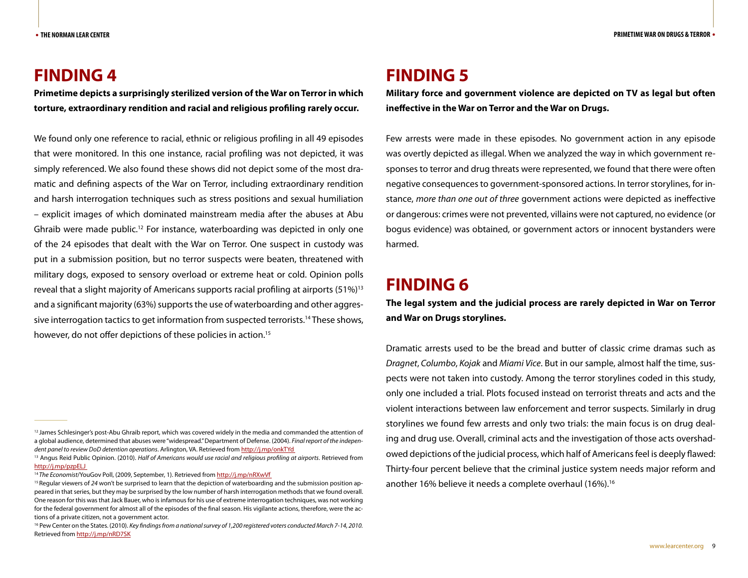#### **FINDING 4**

**Primetime depicts a surprisingly sterilized version of the War on Terror in which torture, extraordinary rendition and racial and religious profiling rarely occur.** 

We found only one reference to racial, ethnic or religious profiling in all 49 episodes that were monitored. In this one instance, racial profiling was not depicted, it was simply referenced. We also found these shows did not depict some of the most dramatic and defining aspects of the War on Terror, including extraordinary rendition and harsh interrogation techniques such as stress positions and sexual humiliation – explicit images of which dominated mainstream media after the abuses at Abu Ghraib were made public.12 For instance, waterboarding was depicted in only one of the 24 episodes that dealt with the War on Terror. One suspect in custody was put in a submission position, but no terror suspects were beaten, threatened with military dogs, exposed to sensory overload or extreme heat or cold. Opinion polls reveal that a slight majority of Americans supports racial profiling at airports (51%)13 and a significant majority (63%) supports the use of waterboarding and other aggressive interrogation tactics to get information from suspected terrorists.14 These shows, however, do not offer depictions of these policies in action.<sup>15</sup>

### **FINDING 5**

**Military force and government violence are depicted on TV as legal but often ineffective in the War on Terror and the War on Drugs.**

Few arrests were made in these episodes. No government action in any episode was overtly depicted as illegal. When we analyzed the way in which government responses to terror and drug threats were represented, we found that there were often negative consequences to government-sponsored actions. In terror storylines, for instance, *more than one out of three* government actions were depicted as ineffective or dangerous: crimes were not prevented, villains were not captured, no evidence (or bogus evidence) was obtained, or government actors or innocent bystanders were harmed.

#### **FINDING 6**

**The legal system and the judicial process are rarely depicted in War on Terror and War on Drugs storylines.** 

Dramatic arrests used to be the bread and butter of classic crime dramas such as *Dragnet*, *Columbo*, *Kojak* and *Miami Vice*. But in our sample, almost half the time, suspects were not taken into custody. Among the terror storylines coded in this study, only one included a trial. Plots focused instead on terrorist threats and acts and the violent interactions between law enforcement and terror suspects. Similarly in drug storylines we found few arrests and only two trials: the main focus is on drug dealing and drug use. Overall, criminal acts and the investigation of those acts overshadowed depictions of the judicial process, which half of Americans feel is deeply flawed: Thirty-four percent believe that the criminal justice system needs major reform and another 16% believe it needs a complete overhaul (16%).16

<sup>&</sup>lt;sup>12</sup> James Schlesinger's post-Abu Ghraib report, which was covered widely in the media and commanded the attention of a global audience, determined that abuses were "widespread." Department of Defense. (2004). *Final report of the indepen*dent panel to review DoD detention operations. Arlington, VA. Retrieved from http://j.mp/onkTYd<br><sup>13</sup> Angus Reid Public Opinion. (2010). *Half of Americans would use racial and religious profiling at airports.* Retrieved fr

http://j.mp/pzpELJ

<sup>&</sup>lt;sup>14</sup> The Economist/YouGov Poll, (2009, September, 1). Retrieved from http://j.mp/nRXwVf<br><sup>15</sup> Regular viewers of 24 won't be surprised to learn that the depiction of waterboarding and the submission position appeared in that series, but they may be surprised by the low number of harsh interrogation methods that we found overall. One reason for this was that Jack Bauer, who is infamous for his use of extreme interrogation techniques, was not working for the federal government for almost all of the episodes of the final season. His vigilante actions, therefore, were the actions of a private citizen, not a government actor.

<sup>&</sup>lt;sup>16</sup> Pew Center on the States. (2010). *Key findings from a national survey of 1,200 registered voters conducted March 7-14, 2010.* Retrieved from http://j.mp/nRD7SK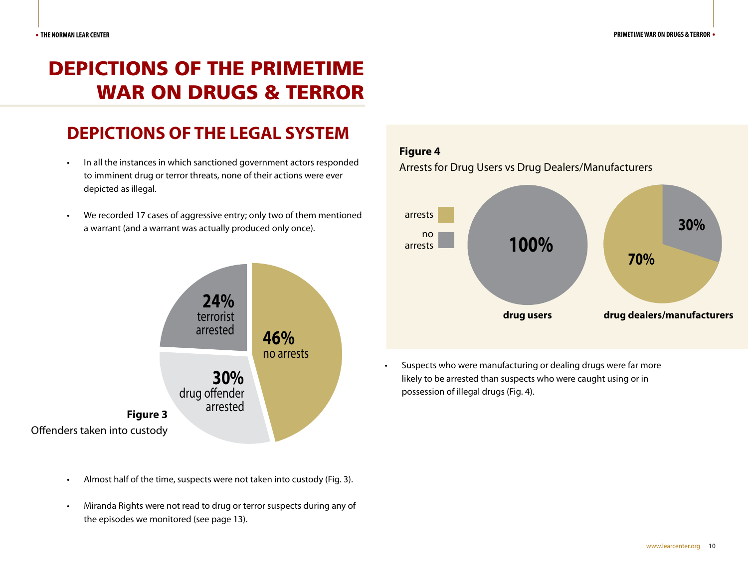# DEPICTIONS OF THE PRIMETIME WAR ON DRUGS & TERROR

# **DEPICTIONS OF THE LEGAL SYSTEM**

- In all the instances in which sanctioned government actors responded to imminent drug or terror threats, none of their actions were ever depicted as illegal.
- We recorded 17 cases of aggressive entry; only two of them mentioned a warrant (and a warrant was actually produced only once).



- Almost half of the time, suspects were not taken into custody (Fig. 3).
- Miranda Rights were not read to drug or terror suspects during any of the episodes we monitored (see page 13).

#### **Figure 4**

Arrests for Drug Users vs Drug Dealers/Manufacturers



• Suspects who were manufacturing or dealing drugs were far more likely to be arrested than suspects who were caught using or in possession of illegal drugs (Fig. 4).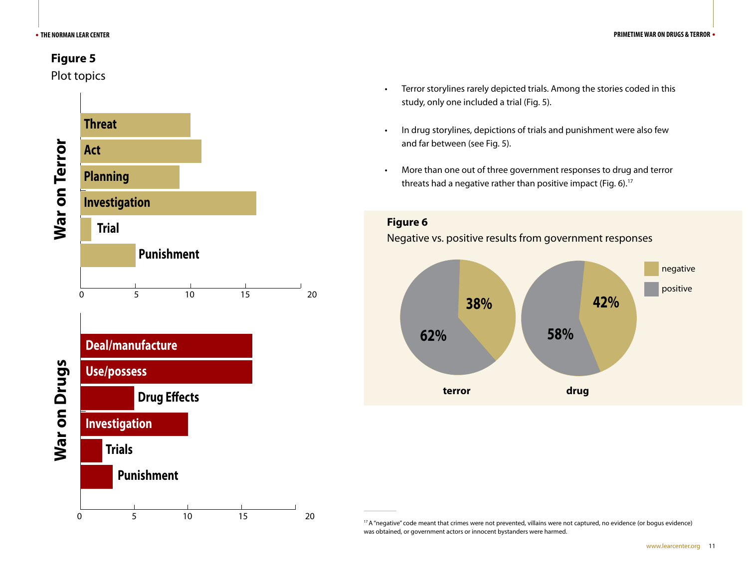#### **Figure 5**

Plot topics



- • Terror storylines rarely depicted trials. Among the stories coded in this study, only one included a trial (Fig. 5).
- • In drug storylines, depictions of trials and punishment were also few and far between (see Fig. 5).
- More than one out of three government responses to drug and terror threats had a negative rather than positive impact (Fig. 6).<sup>17</sup>

**Figure 6**

#### Negative vs. positive results from government responses



<sup>&</sup>lt;sup>17</sup> A "negative" code meant that crimes were not prevented, villains were not captured, no evidence (or bogus evidence) was obtained, or government actors or innocent bystanders were harmed.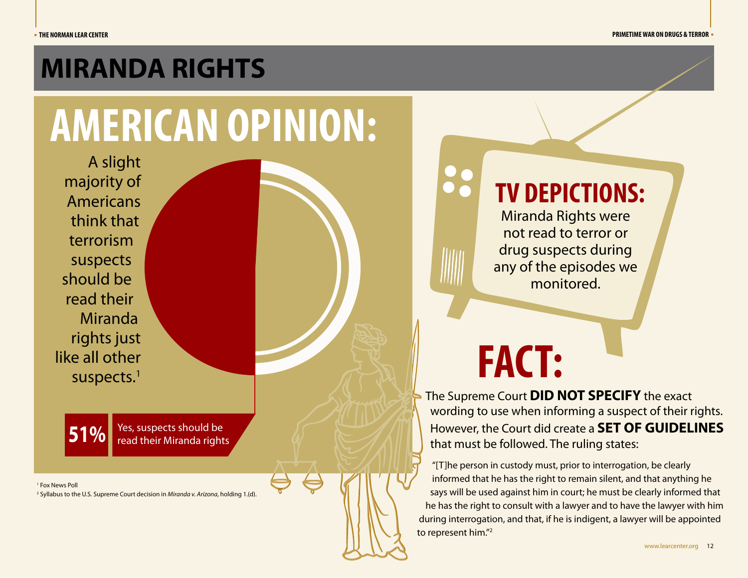# **MIRANDA RIGHTS**

# **AMERICAN OPINION:**

A slight majority of Americans think that terrorism suspects should be read their Miranda rights just like all other suspects.<sup>1</sup>

**51%** Yes, suspects should be<br>read their Miranda rights

1 Fox News Poll

2 Syllabus to the U.S. Supreme Court decision in *Miranda v. Arizona*, holding 1.(d).

# **TV DEPICTIONS:**

Miranda Rights were not read to terror or drug suspects during any of the episodes we monitored.

# **FACT:**

The Supreme Court **DID NOT SPECIFY** the exact wording to use when informing a suspect of their rights. However, the Court did create a **SET OF GUIDELINES** that must be followed. The ruling states:

"[T]he person in custody must, prior to interrogation, be clearly informed that he has the right to remain silent, and that anything he says will be used against him in court; he must be clearly informed that he has the right to consult with a lawyer and to have the lawyer with him during interrogation, and that, if he is indigent, a lawyer will be appointed to represent him."2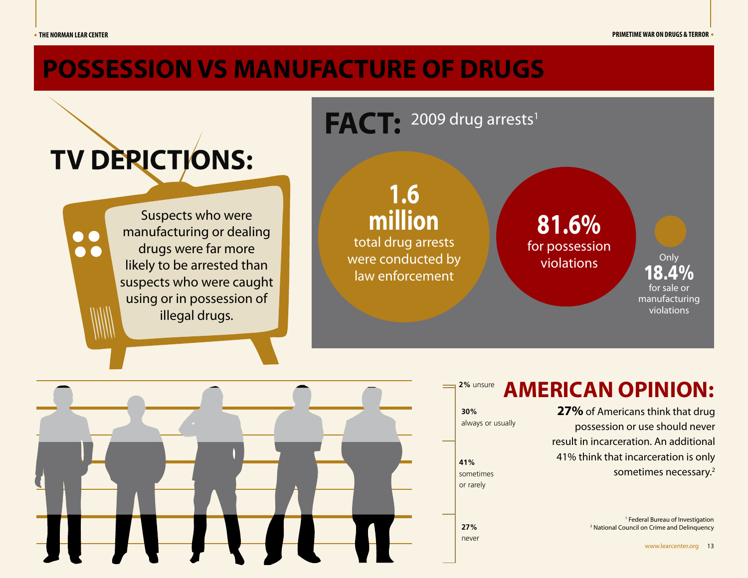# **POSSESSION VS MANUFACTURE OF DRUGS**





#### **AMERICAN OPINION: 2%** unsure

**27%** of Americans think that drug possession or use should never result in incarceration. An additional 41% think that incarceration is only sometimes necessary.2

> <sup>1</sup> Federal Bureau of Investigation 2 National Council on Crime and Delinquency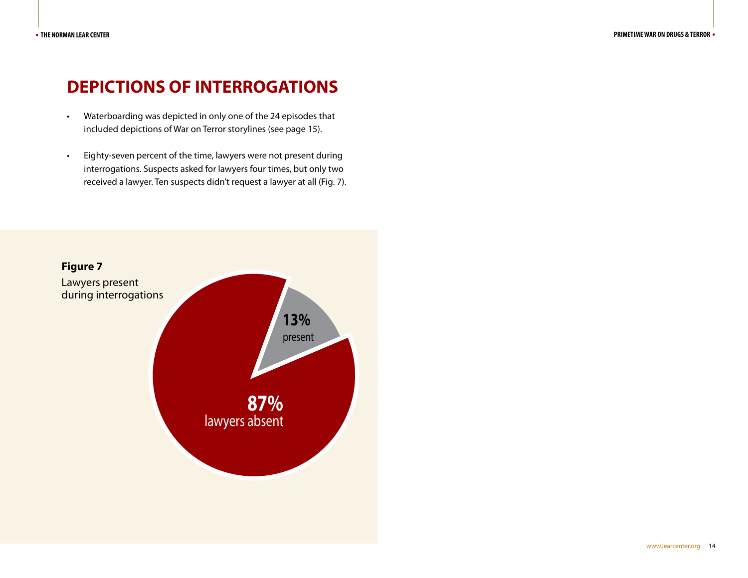### **DEPICTIONS OF INTERROGATIONS**

- • Waterboarding was depicted in only one of the 24 episodes that included depictions of War on Terror storylines (see page 15).
- • Eighty-seven percent of the time, lawyers were not present during interrogations. Suspects asked for lawyers four times, but only two received a lawyer. Ten suspects didn't request a lawyer at all (Fig. 7).

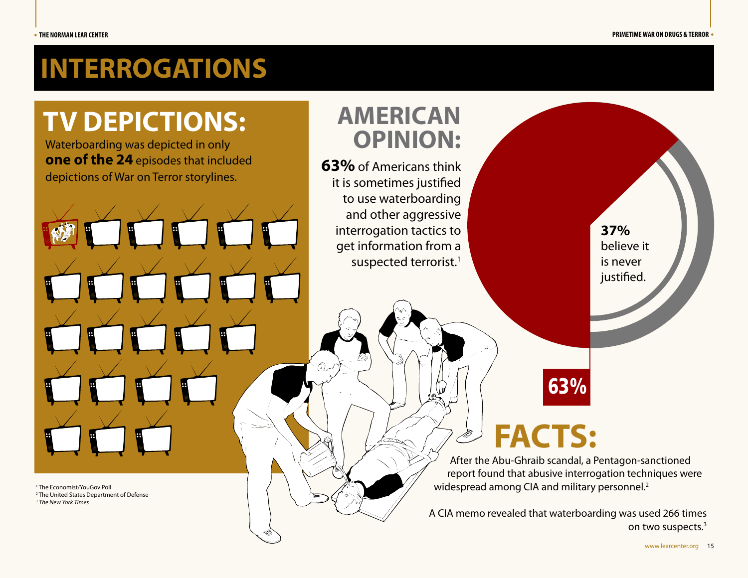# **INTERROGATIONS**

# **TV DEPICTIONS:**

Waterboarding was depicted in only **one of the 24** episodes that included depictions of War on Terror storylines.

H

1 The Economist/YouGov Poll

2 The United States Department of Defense

<sup>3</sup> *The New York Times*



**63%** of Americans think it is sometimes justified to use waterboarding and other aggressive interrogation tactics to get information from a suspected terrorist.<sup>1</sup>

**37%**  believe it is never justified.

# **FACTS:**

After the Abu-Ghraib scandal, a Pentagon-sanctioned report found that abusive interrogation techniques were widespread among CIA and military personnel.<sup>2</sup>

63%

A CIA memo revealed that waterboarding was used 266 times on two suspects.3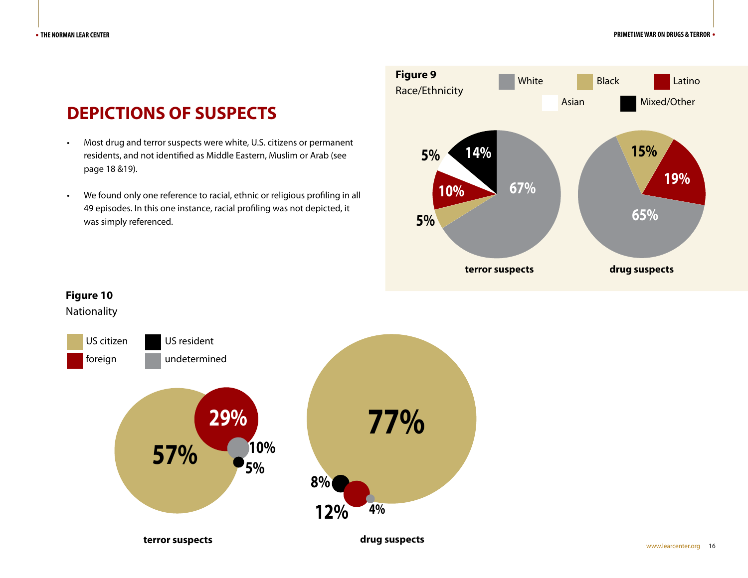# **DEPICTIONS OF SUSPECTS**

- Most drug and terror suspects were white, U.S. citizens or permanent residents, and not identified as Middle Eastern, Muslim or Arab (see page 18 &19).
- • We found only one reference to racial, ethnic or religious profiling in all 49 episodes. In this one instance, racial profiling was not depicted, it was simply referenced.





#### **Figure 10** Nationality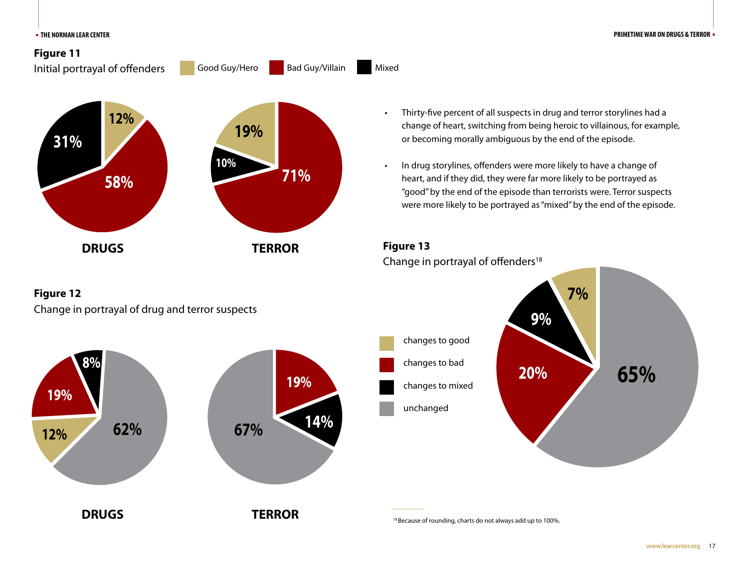

#### **Figure 12**

**19%**

**12%**

**8%**

Change in portrayal of drug and terror suspects

**62%**

**67% 14%**

**19%**



• In drug storylines, offenders were more likely to have a change of heart, and if they did, they were far more likely to be portrayed as "good" by the end of the episode than terrorists were. Terror suspects were more likely to be portrayed as "mixed" by the end of the episode.





**DRUGS** TERROR TERROR **18 Because of rounding, charts do not always add up to 100%.** 

www.learcenter.org 17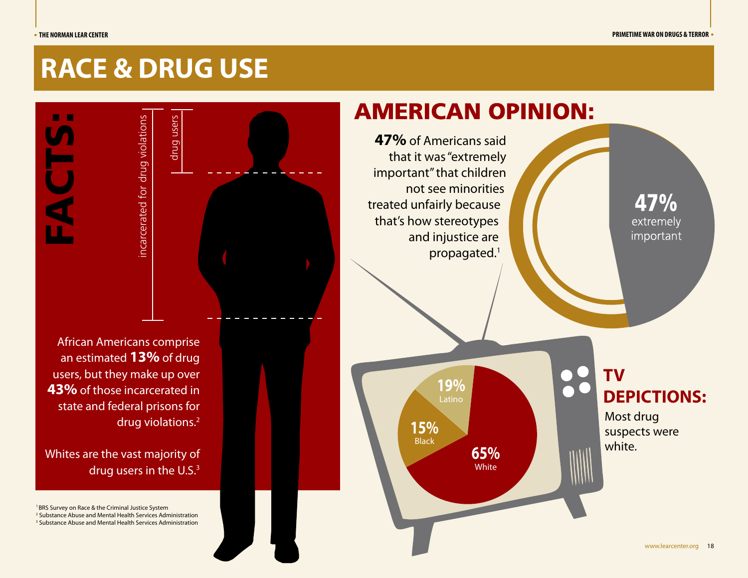# **RACE & DRUG USE**

FACTS:

incarcerated for drug violations incarcerated for drug violations drug users

African Americans comprise an estimated **13%** of drug users, but they make up over **43%** of those incarcerated in state and federal prisons for drug violations.2

Whites are the vast majority of drug users in the U.S.<sup>3</sup>

<sup>1</sup> BRS Survey on Race & the Criminal Justice System

2 Substance Abuse and Mental Health Services Administration

3 Substance Abuse and Mental Health Services Administration

# **AMERICAN OPINION:**

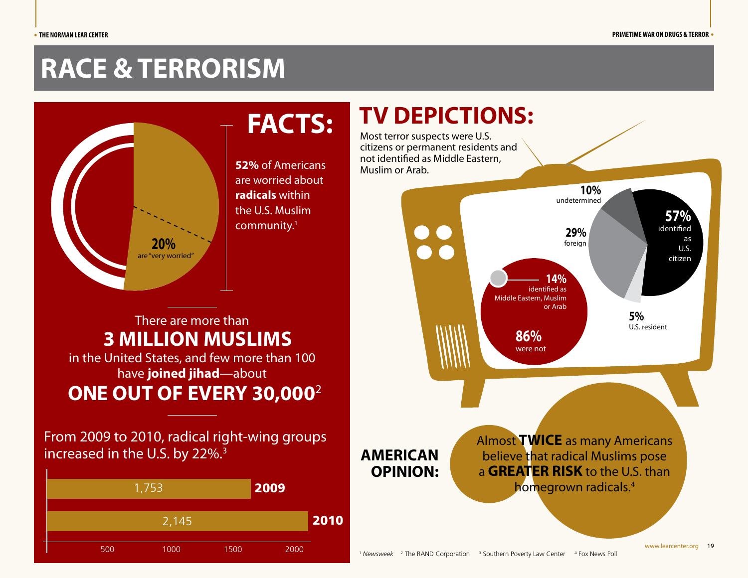# **RACE & TERRORISM**



**52%** of Americans are worried about **radicals** within the U.S. Muslim community.1

## There are more than in the United States, and few more than 100 have **joined jihad**—about **3 MILLION MUSLIMS ONE OUT OF EVERY 30,000**<sup>2</sup>

From 2009 to 2010, radical right-wing groups increased in the U.S. by 22%.3



# **TV DEPICTIONS: FACTS:** Most terror suspects were U.S.

citizens or permanent residents and not identified as Middle Eastern, Muslim or Arab.

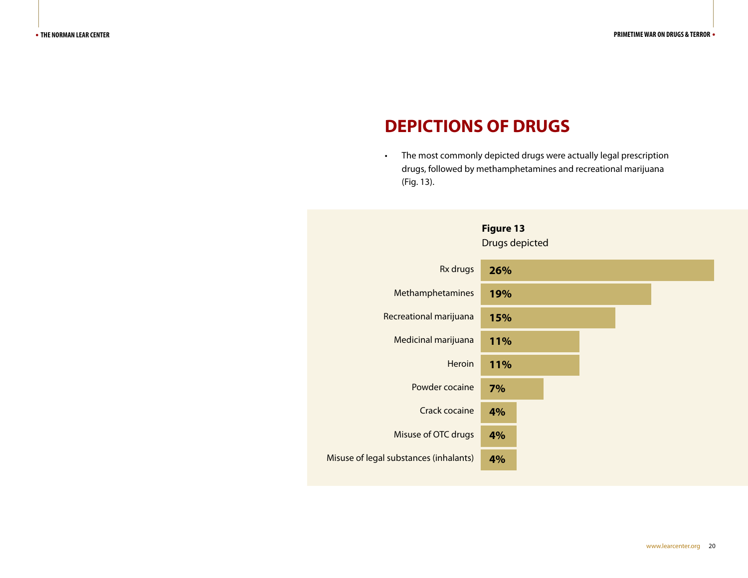## **DEPICTIONS OF DRUGS**

• The most commonly depicted drugs were actually legal prescription drugs, followed by methamphetamines and recreational marijuana (Fig. 13).

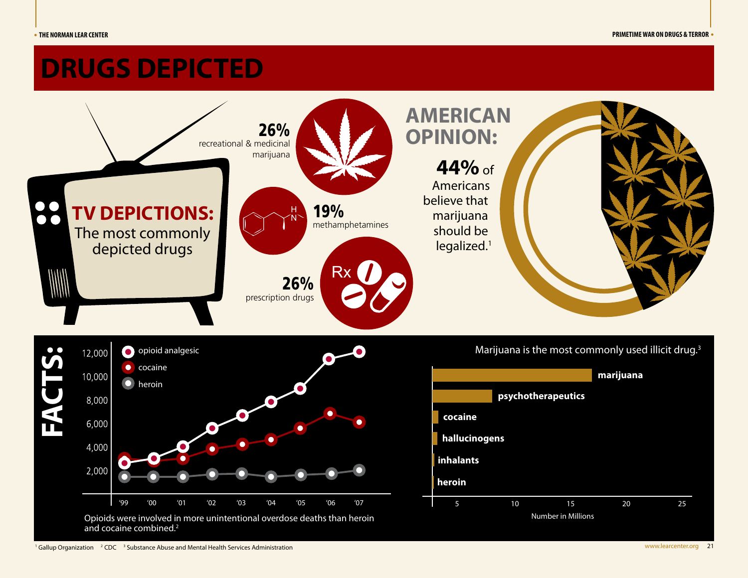# **DRUGS DEPICTED**

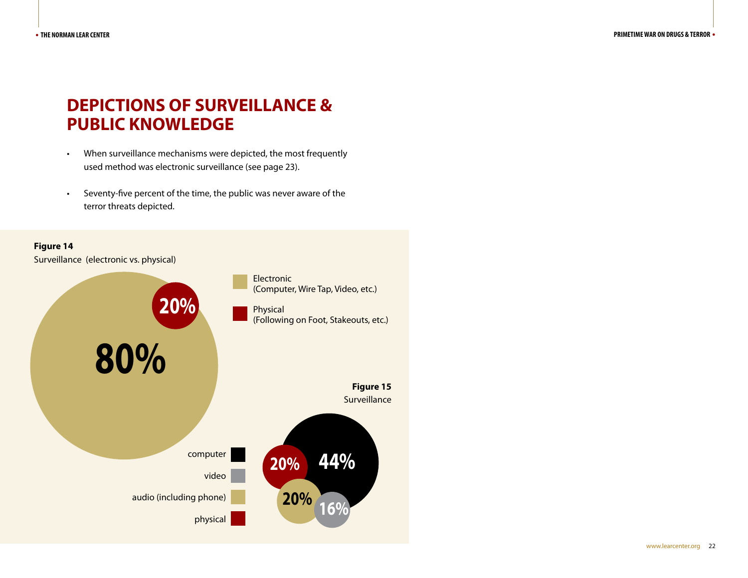# **DEPICTIONS OF SURVEILLANCE & PUBLIC KNOWLEDGE**

- • When surveillance mechanisms were depicted, the most frequently used method was electronic surveillance (see page 23).
- • Seventy-five percent of the time, the public was never aware of the terror threats depicted.

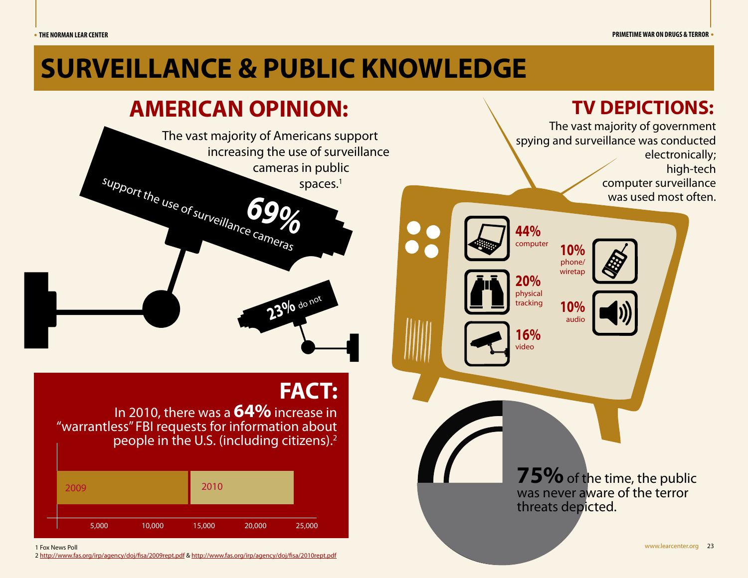The vast majority of government

**TV DEPICTIONS:**

# **SURVEILLANCE & PUBLIC KNOWLEDGE**

# **AMERICAN OPINION:**



# **FACT:**

In 2010, there was a **64%** increase in "warrantless" FBI requests for information about people in the U.S. (including citizens).2

| 2009  |        | 2010   |        |        |
|-------|--------|--------|--------|--------|
| 5,000 | 10,000 | 15,000 | 20,000 | 25,000 |

1 Fox News Poll

2 http://www.fas.org/irp/agency/doj/fisa/2009rept.pdf & http://www.fas.org/irp/agency/doj/fisa/2010rept.pdf

spying and surveillance was conducted electronically; high-tech computer surveillance was used most often. **44%** computer **20%** physical tracking **16%** video **10%** phone/ wiretap **10%**  audio **75%** of the time, the public was never aware of the terror threats depicted.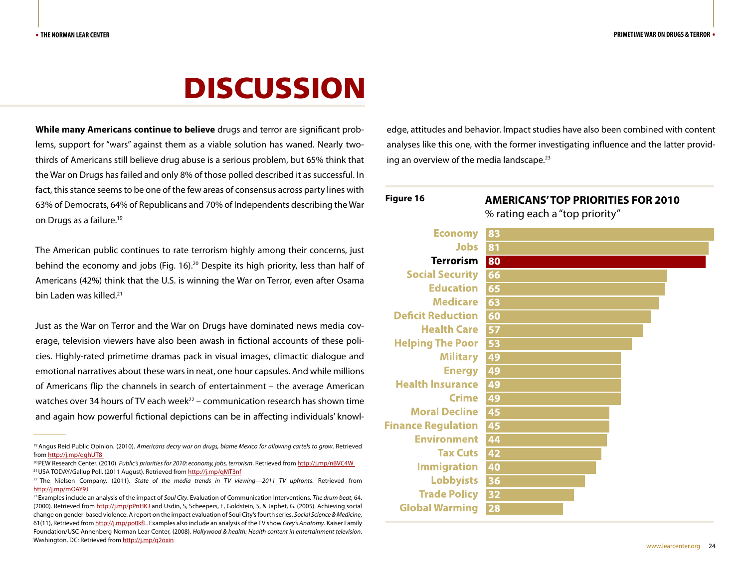# DISCUSSION

**While many Americans continue to believe** drugs and terror are significant problems, support for "wars" against them as a viable solution has waned. Nearly twothirds of Americans still believe drug abuse is a serious problem, but 65% think that the War on Drugs has failed and only 8% of those polled described it as successful. In fact, this stance seems to be one of the few areas of consensus across party lines with 63% of Democrats, 64% of Republicans and 70% of Independents describing the War on Drugs as a failure.19

The American public continues to rate terrorism highly among their concerns, just behind the economy and jobs (Fig. 16).<sup>20</sup> Despite its high priority, less than half of Americans (42%) think that the U.S. is winning the War on Terror, even after Osama bin Laden was killed.<sup>21</sup>

Just as the War on Terror and the War on Drugs have dominated news media coverage, television viewers have also been awash in fictional accounts of these policies. Highly-rated primetime dramas pack in visual images, climactic dialogue and emotional narratives about these wars in neat, one hour capsules. And while millions of Americans flip the channels in search of entertainment – the average American watches over 34 hours of TV each week $^{22}$  – communication research has shown time and again how powerful fictional depictions can be in affecting individuals' knowledge, attitudes and behavior. Impact studies have also been combined with content analyses like this one, with the former investigating influence and the latter providing an overview of the media landscape. $23$ 

| Figure 16                 | <b>AMERICANS'TOP PRIORITIES FOR 2010</b> |  |  |  |
|---------------------------|------------------------------------------|--|--|--|
|                           | % rating each a "top priority"           |  |  |  |
| <b>Economy</b>            | 83                                       |  |  |  |
| <b>Jobs</b>               | 81                                       |  |  |  |
| <b>Terrorism</b>          | 80                                       |  |  |  |
| <b>Social Security</b>    | 66                                       |  |  |  |
| <b>Education</b>          | 65                                       |  |  |  |
| <b>Medicare</b>           | 63                                       |  |  |  |
| <b>Deficit Reduction</b>  | 60                                       |  |  |  |
| <b>Health Care</b>        | 57                                       |  |  |  |
| <b>Helping The Poor</b>   | 53                                       |  |  |  |
| <b>Military</b>           | 49                                       |  |  |  |
| <b>Energy</b>             | 49                                       |  |  |  |
| <b>Health Insurance</b>   | 49                                       |  |  |  |
| <b>Crime</b>              | 49                                       |  |  |  |
| <b>Moral Decline</b>      | 45                                       |  |  |  |
| <b>Finance Regulation</b> | 45                                       |  |  |  |
| <b>Environment</b>        | 44                                       |  |  |  |
| <b>Tax Cuts</b>           | 42                                       |  |  |  |
| <b>Immigration</b>        | 40                                       |  |  |  |
| <b>Lobbyists</b>          | 36                                       |  |  |  |
| <b>Trade Policy</b>       | 32                                       |  |  |  |
| <b>Global Warming</b>     | 28                                       |  |  |  |

<sup>19</sup> Angus Reid Public Opinion. (2010). *Americans decry war on drugs, blame Mexico for allowing cartels to grow*. Retrieved

from <u>http://j.mp/qghUT8</u><br><sup>20</sup> PEW Research Center. (2010). *Public's priorities for 2010: economy, jobs, terrorism.* Retrieved from <u>http://j.mp/nBVC4W</u><br><sup>21</sup> USA TODAY/Gallup Poll. (2011 August). Retrieved from http://j.m

<sup>&</sup>lt;sup>22</sup> The Nielsen Company. (2011). *State of the media trends in TV viewing—2011 TV upfronts*. Retrieved from http://j.mp/mOAY9J

<sup>23</sup> Examples include an analysis of the impact of *Soul City*. Evaluation of Communication Interventions. *The drum beat*, 64. (2000). Retrieved from http://j.mp/pPnHKJ and Usdin, S, Scheepers, E, Goldstein, S, & Japhet, G. (2005). Achieving social change on gender-based violence: A report on the impact evaluation of Soul City's fourth series. *Social Science & Medicine*, 61(11), Retrieved from http://j.mp/po0kfL. Examples also include an analysis of the TV show *Grey's Anatomy*. Kaiser Family Foundation/USC Annenberg Norman Lear Center, (2008). *Hollywood & health: Health content in entertainment television*. Washington, DC: Retrieved from http://j.mp/q2oxin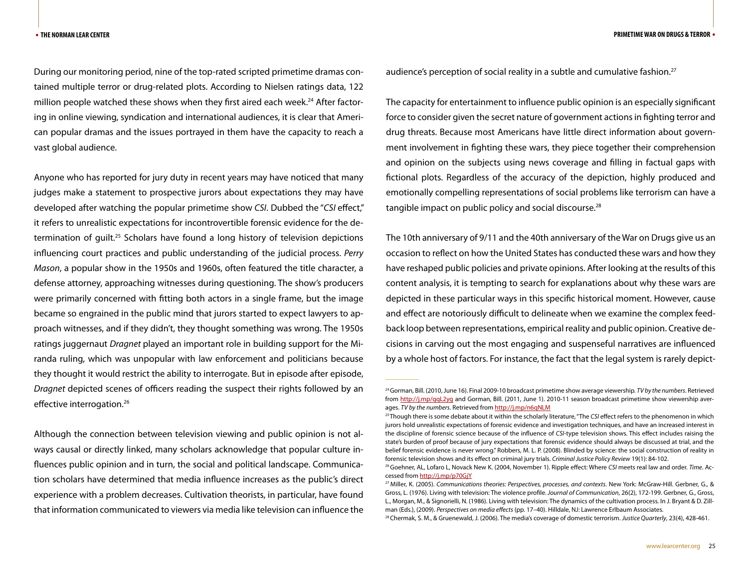During our monitoring period, nine of the top-rated scripted primetime dramas contained multiple terror or drug-related plots. According to Nielsen ratings data, 122 million people watched these shows when they first aired each week.<sup>24</sup> After factoring in online viewing, syndication and international audiences, it is clear that American popular dramas and the issues portrayed in them have the capacity to reach a vast global audience.

Anyone who has reported for jury duty in recent years may have noticed that many judges make a statement to prospective jurors about expectations they may have developed after watching the popular primetime show *CSI*. Dubbed the "*CSI* effect," it refers to unrealistic expectations for incontrovertible forensic evidence for the determination of guilt.25 Scholars have found a long history of television depictions influencing court practices and public understanding of the judicial process. *Perry Mason*, a popular show in the 1950s and 1960s, often featured the title character, a defense attorney, approaching witnesses during questioning. The show's producers were primarily concerned with fitting both actors in a single frame, but the image became so engrained in the public mind that jurors started to expect lawyers to approach witnesses, and if they didn't, they thought something was wrong. The 1950s ratings juggernaut *Dragnet* played an important role in building support for the Miranda ruling, which was unpopular with law enforcement and politicians because they thought it would restrict the ability to interrogate. But in episode after episode, *Dragnet* depicted scenes of officers reading the suspect their rights followed by an effective interrogation.<sup>26</sup>

Although the connection between television viewing and public opinion is not always causal or directly linked, many scholars acknowledge that popular culture influences public opinion and in turn, the social and political landscape. Communication scholars have determined that media influence increases as the public's direct experience with a problem decreases. Cultivation theorists, in particular, have found that information communicated to viewers via media like television can influence the

audience's perception of social reality in a subtle and cumulative fashion.<sup>27</sup>

The capacity for entertainment to influence public opinion is an especially significant force to consider given the secret nature of government actions in fighting terror and drug threats. Because most Americans have little direct information about government involvement in fighting these wars, they piece together their comprehension and opinion on the subjects using news coverage and filling in factual gaps with fictional plots. Regardless of the accuracy of the depiction, highly produced and emotionally compelling representations of social problems like terrorism can have a tangible impact on public policy and social discourse.<sup>28</sup>

The 10th anniversary of 9/11 and the 40th anniversary of the War on Drugs give us an occasion to reflect on how the United States has conducted these wars and how they have reshaped public policies and private opinions. After looking at the results of this content analysis, it is tempting to search for explanations about why these wars are depicted in these particular ways in this specific historical moment. However, cause and effect are notoriously difficult to delineate when we examine the complex feedback loop between representations, empirical reality and public opinion. Creative decisions in carving out the most engaging and suspenseful narratives are influenced by a whole host of factors. For instance, the fact that the legal system is rarely depict-

28 Chermak, S. M., & Gruenewald, J. (2006). The media's coverage of domestic terrorism. *Justice Quarterly*, 23(4), 428-461.

<sup>24</sup> Gorman, Bill. (2010, June 16). Final 2009-10 broadcast primetime show average viewership. *TV by the numbers*. Retrieved from http://j.mp/qqL2yg and Gorman, Bill. (2011, June 1). 2010-11 season broadcast primetime show viewership averages. *TV by the numbers*. Retrieved from http://j.mp/n6qNLM

<sup>25</sup> Though there is some debate about it within the scholarly literature, "The *CSI* effect refers to the phenomenon in which jurors hold unrealistic expectations of forensic evidence and investigation techniques, and have an increased interest in the discipline of forensic science because of the influence of *CSI*-type television shows. This effect includes raising the state's burden of proof because of jury expectations that forensic evidence should always be discussed at trial, and the belief forensic evidence is never wrong." Robbers, M. L. P. (2008). Blinded by science: the social construction of reality in forensic television shows and its effect on criminal jury trials. *Criminal Justice Policy Review* 19(1): 84-102.

<sup>26</sup> Goehner, AL, Lofaro L, Novack New K. (2004, November 1). Ripple effect: Where *CSI* meets real law and order. *Time*. Accessed from http://j.mp/p70GjY

<sup>27</sup> Miller, K. (2005). *Communications theories: Perspectives, processes, and contexts*. New York: McGraw-Hill. Gerbner, G., & Gross, L. (1976). Living with television: The violence profile. *Journal of Communication*, 26(2), 172-199. Gerbner, G., Gross, L., Morgan, M., & Signorielli, N. (1986). Living with television: The dynamics of the cultivation process. In J. Bryant & D. Zillman (Eds.), (2009). *Perspectives on media effects* (pp. 17–40). Hilldale, NJ: Lawrence Erlbaum Associates.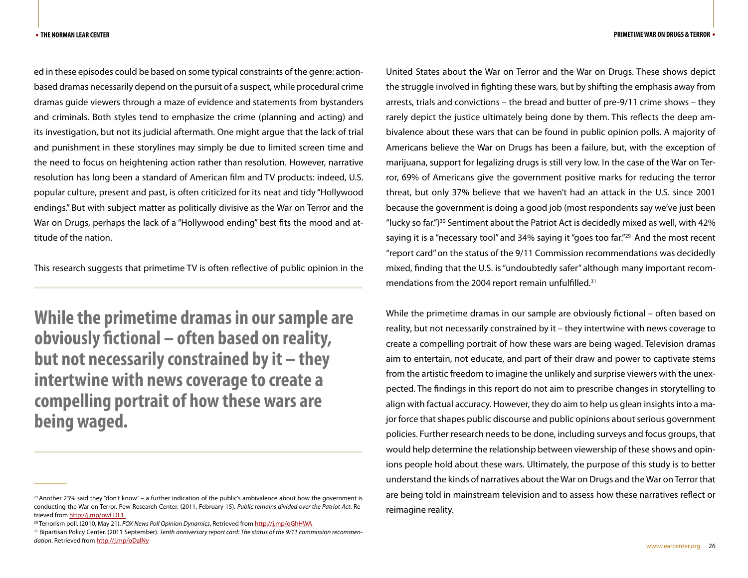ed in these episodes could be based on some typical constraints of the genre: actionbased dramas necessarily depend on the pursuit of a suspect, while procedural crime dramas guide viewers through a maze of evidence and statements from bystanders and criminals. Both styles tend to emphasize the crime (planning and acting) and its investigation, but not its judicial aftermath. One might argue that the lack of trial and punishment in these storylines may simply be due to limited screen time and the need to focus on heightening action rather than resolution. However, narrative resolution has long been a standard of American film and TV products: indeed, U.S. popular culture, present and past, is often criticized for its neat and tidy "Hollywood endings." But with subject matter as politically divisive as the War on Terror and the War on Drugs, perhaps the lack of a "Hollywood ending" best fits the mood and attitude of the nation.

This research suggests that primetime TV is often reflective of public opinion in the

**While the primetime dramas in our sample are obviously fictional – often based on reality, but not necessarily constrained by it – they intertwine with news coverage to create a compelling portrait of how these wars are being waged.**

United States about the War on Terror and the War on Drugs. These shows depict the struggle involved in fighting these wars, but by shifting the emphasis away from arrests, trials and convictions – the bread and butter of pre-9/11 crime shows – they rarely depict the justice ultimately being done by them. This reflects the deep ambivalence about these wars that can be found in public opinion polls. A majority of Americans believe the War on Drugs has been a failure, but, with the exception of marijuana, support for legalizing drugs is still very low. In the case of the War on Terror, 69% of Americans give the government positive marks for reducing the terror threat, but only 37% believe that we haven't had an attack in the U.S. since 2001 because the government is doing a good job (most respondents say we've just been "lucky so far.")<sup>30</sup> Sentiment about the Patriot Act is decidedly mixed as well, with 42% saying it is a "necessary tool" and 34% saying it "goes too far."<sup>29</sup> And the most recent "report card" on the status of the 9/11 Commission recommendations was decidedly mixed, finding that the U.S. is "undoubtedly safer" although many important recommendations from the 2004 report remain unfulfilled.<sup>31</sup>

While the primetime dramas in our sample are obviously fictional – often based on reality, but not necessarily constrained by it – they intertwine with news coverage to create a compelling portrait of how these wars are being waged. Television dramas aim to entertain, not educate, and part of their draw and power to captivate stems from the artistic freedom to imagine the unlikely and surprise viewers with the unexpected. The findings in this report do not aim to prescribe changes in storytelling to align with factual accuracy. However, they do aim to help us glean insights into a major force that shapes public discourse and public opinions about serious government policies. Further research needs to be done, including surveys and focus groups, that would help determine the relationship between viewership of these shows and opinions people hold about these wars. Ultimately, the purpose of this study is to better understand the kinds of narratives about the War on Drugs and the War on Terror that are being told in mainstream television and to assess how these narratives reflect or reimagine reality.

 $^{29}$  Another 23% said they "don't know" – a further indication of the public's ambivalence about how the government is conducting the War on Terror. Pew Research Center. (2011, February 15). *Public remains divided over the Patriot Act*. Retrieved from http://j.mp/owFDL1\_<br><sup>30</sup> Terrorism poll. (2010, May 21). *FOX News Poll Opinion Dynamics*, Retrieved from http://j.mp/oGhHWA\_<br><sup>31</sup> Bipartisan Policy Center. (2011 September). Tenth anniversary report card: The

*dation*. Retrieved from http://j.mp/oDalNy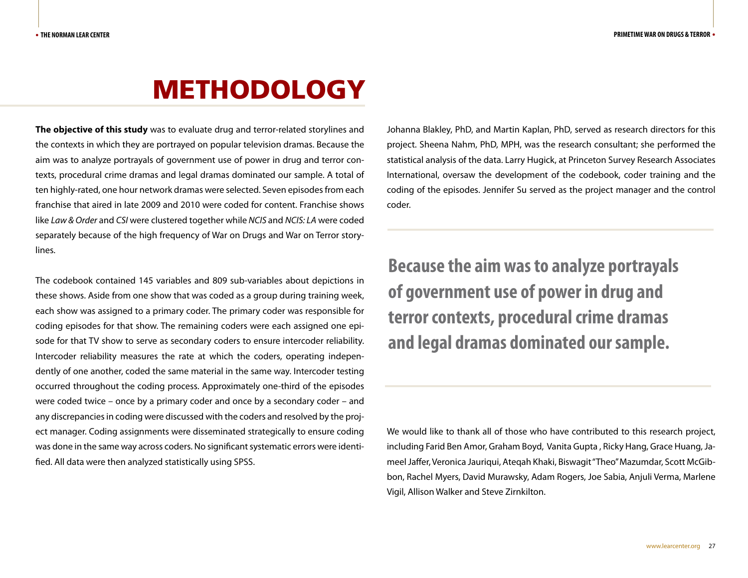# METHODOLOGY

**The objective of this study** was to evaluate drug and terror-related storylines and the contexts in which they are portrayed on popular television dramas. Because the aim was to analyze portrayals of government use of power in drug and terror contexts, procedural crime dramas and legal dramas dominated our sample. A total of ten highly-rated, one hour network dramas were selected. Seven episodes from each franchise that aired in late 2009 and 2010 were coded for content. Franchise shows like *Law & Order* and *CSI* were clustered together while *NCIS* and *NCIS: LA* were coded separately because of the high frequency of War on Drugs and War on Terror storylines.

The codebook contained 145 variables and 809 sub-variables about depictions in these shows. Aside from one show that was coded as a group during training week, each show was assigned to a primary coder. The primary coder was responsible for coding episodes for that show. The remaining coders were each assigned one episode for that TV show to serve as secondary coders to ensure intercoder reliability. Intercoder reliability measures the rate at which the coders, operating independently of one another, coded the same material in the same way. Intercoder testing occurred throughout the coding process. Approximately one-third of the episodes were coded twice – once by a primary coder and once by a secondary coder – and any discrepancies in coding were discussed with the coders and resolved by the project manager. Coding assignments were disseminated strategically to ensure coding was done in the same way across coders. No significant systematic errors were identified. All data were then analyzed statistically using SPSS.

Johanna Blakley, PhD, and Martin Kaplan, PhD, served as research directors for this project. Sheena Nahm, PhD, MPH, was the research consultant; she performed the statistical analysis of the data. Larry Hugick, at Princeton Survey Research Associates International, oversaw the development of the codebook, coder training and the coding of the episodes. Jennifer Su served as the project manager and the control coder.

**Because the aim was to analyze portrayals of government use of power in drug and terror contexts, procedural crime dramas and legal dramas dominated our sample.** 

We would like to thank all of those who have contributed to this research project, including Farid Ben Amor, Graham Boyd, Vanita Gupta , Ricky Hang, Grace Huang, Jameel Jaffer, Veronica Jauriqui, Ateqah Khaki, Biswagit "Theo" Mazumdar, Scott McGibbon, Rachel Myers, David Murawsky, Adam Rogers, Joe Sabia, Anjuli Verma, Marlene Vigil, Allison Walker and Steve Zirnkilton.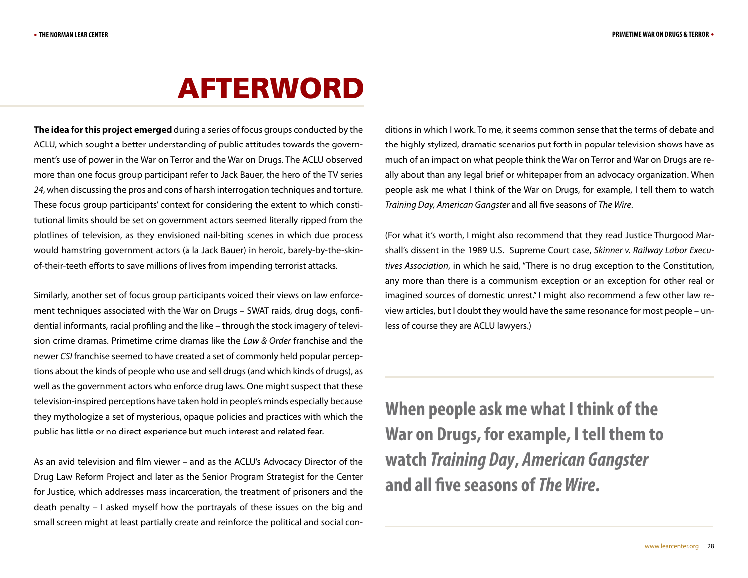# AFTERWORD

**The idea for this project emerged** during a series of focus groups conducted by the ACLU, which sought a better understanding of public attitudes towards the government's use of power in the War on Terror and the War on Drugs. The ACLU observed more than one focus group participant refer to Jack Bauer, the hero of the TV series *24*, when discussing the pros and cons of harsh interrogation techniques and torture. These focus group participants' context for considering the extent to which constitutional limits should be set on government actors seemed literally ripped from the plotlines of television, as they envisioned nail-biting scenes in which due process would hamstring government actors (à la Jack Bauer) in heroic, barely-by-the-skinof-their-teeth efforts to save millions of lives from impending terrorist attacks.

Similarly, another set of focus group participants voiced their views on law enforcement techniques associated with the War on Drugs – SWAT raids, drug dogs, confidential informants, racial profiling and the like – through the stock imagery of television crime dramas. Primetime crime dramas like the *Law & Order* franchise and the newer *CSI* franchise seemed to have created a set of commonly held popular perceptions about the kinds of people who use and sell drugs (and which kinds of drugs), as well as the government actors who enforce drug laws. One might suspect that these television-inspired perceptions have taken hold in people's minds especially because they mythologize a set of mysterious, opaque policies and practices with which the public has little or no direct experience but much interest and related fear.

As an avid television and film viewer – and as the ACLU's Advocacy Director of the Drug Law Reform Project and later as the Senior Program Strategist for the Center for Justice, which addresses mass incarceration, the treatment of prisoners and the death penalty – I asked myself how the portrayals of these issues on the big and small screen might at least partially create and reinforce the political and social conditions in which I work. To me, it seems common sense that the terms of debate and the highly stylized, dramatic scenarios put forth in popular television shows have as much of an impact on what people think the War on Terror and War on Drugs are really about than any legal brief or whitepaper from an advocacy organization. When people ask me what I think of the War on Drugs, for example, I tell them to watch *Training Day, American Gangster* and all five seasons of *The Wire*.

(For what it's worth, I might also recommend that they read Justice Thurgood Marshall's dissent in the 1989 U.S. Supreme Court case, *Skinner v. Railway Labor Executives Association*, in which he said, "There is no drug exception to the Constitution, any more than there is a communism exception or an exception for other real or imagined sources of domestic unrest." I might also recommend a few other law review articles, but I doubt they would have the same resonance for most people – unless of course they are ACLU lawyers.)

**When people ask me what I think of the War on Drugs, for example, I tell them to watch** *Training Day***,** *American Gangster*  **and all five seasons of** *The Wire***.**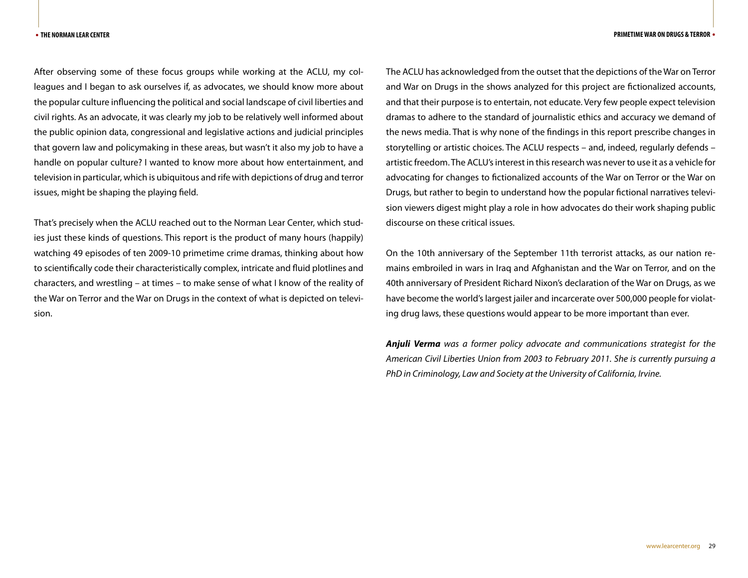After observing some of these focus groups while working at the ACLU, my colleagues and I began to ask ourselves if, as advocates, we should know more about the popular culture influencing the political and social landscape of civil liberties and civil rights. As an advocate, it was clearly my job to be relatively well informed about the public opinion data, congressional and legislative actions and judicial principles that govern law and policymaking in these areas, but wasn't it also my job to have a handle on popular culture? I wanted to know more about how entertainment, and television in particular, which is ubiquitous and rife with depictions of drug and terror issues, might be shaping the playing field.

That's precisely when the ACLU reached out to the Norman Lear Center, which studies just these kinds of questions. This report is the product of many hours (happily) watching 49 episodes of ten 2009-10 primetime crime dramas, thinking about how to scientifically code their characteristically complex, intricate and fluid plotlines and characters, and wrestling – at times – to make sense of what I know of the reality of the War on Terror and the War on Drugs in the context of what is depicted on television.

The ACLU has acknowledged from the outset that the depictions of the War on Terror and War on Drugs in the shows analyzed for this project are fictionalized accounts, and that their purpose is to entertain, not educate. Very few people expect television dramas to adhere to the standard of journalistic ethics and accuracy we demand of the news media. That is why none of the findings in this report prescribe changes in storytelling or artistic choices. The ACLU respects – and, indeed, regularly defends – artistic freedom. The ACLU's interest in this research was never to use it as a vehicle for advocating for changes to fictionalized accounts of the War on Terror or the War on Drugs, but rather to begin to understand how the popular fictional narratives television viewers digest might play a role in how advocates do their work shaping public discourse on these critical issues.

On the 10th anniversary of the September 11th terrorist attacks, as our nation remains embroiled in wars in Iraq and Afghanistan and the War on Terror, and on the 40th anniversary of President Richard Nixon's declaration of the War on Drugs, as we have become the world's largest jailer and incarcerate over 500,000 people for violating drug laws, these questions would appear to be more important than ever.

*Anjuli Verma was a former policy advocate and communications strategist for the American Civil Liberties Union from 2003 to February 2011. She is currently pursuing a PhD in Criminology, Law and Society at the University of California, Irvine.*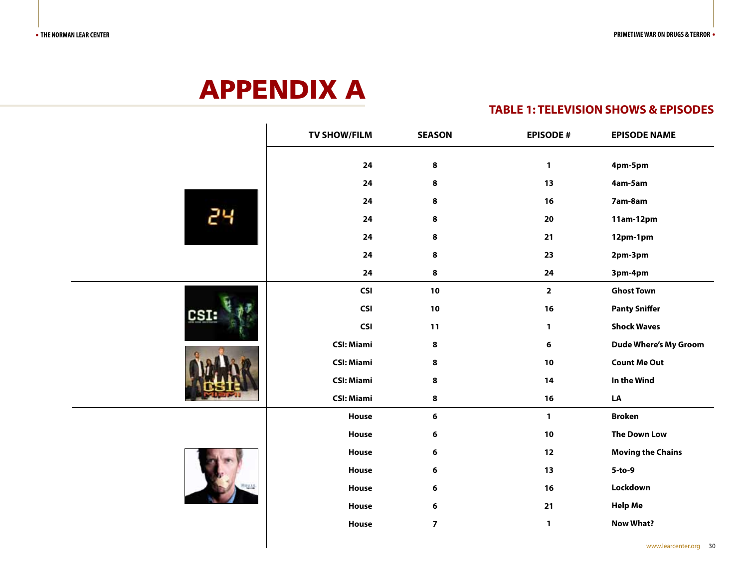# APPENDIX A

#### **TABLE 1: TELEVISION SHOWS & EPISODES**

|  |      | <b>TV SHOW/FILM</b> | <b>SEASON</b>           | <b>EPISODE#</b>         | <b>EPISODE NAME</b>          |
|--|------|---------------------|-------------------------|-------------------------|------------------------------|
|  |      | ${\bf 24}$          | $\pmb{8}$               | $\mathbf{1}$            | 4pm-5pm                      |
|  |      | ${\bf 24}$          | $\pmb{8}$               | 13                      | 4am-5am                      |
|  |      | ${\bf 24}$          | $\pmb{8}$               | 16                      | 7am-8am                      |
|  | 24   | 24                  | 8                       | 20                      | 11am-12pm                    |
|  |      | ${\bf 24}$          | 8                       | 21                      | 12pm-1pm                     |
|  |      | ${\bf 24}$          | $\pmb{8}$               | 23                      | 2pm-3pm                      |
|  |      | ${\bf 24}$          | $\pmb{8}$               | ${\bf 24}$              | 3pm-4pm                      |
|  |      | <b>CSI</b>          | 10                      | $\overline{\mathbf{2}}$ | <b>Ghost Town</b>            |
|  | CSI: | <b>CSI</b>          | 10                      | $16$                    | <b>Panty Sniffer</b>         |
|  |      | <b>CSI</b>          | 11                      | $\mathbf{1}$            | <b>Shock Waves</b>           |
|  |      | <b>CSI: Miami</b>   | $\bf8$                  | $\bf 6$                 | <b>Dude Where's My Groom</b> |
|  |      | <b>CSI: Miami</b>   | 8                       | 10                      | <b>Count Me Out</b>          |
|  |      | <b>CSI: Miami</b>   | $\pmb{8}$               | 14                      | In the Wind                  |
|  |      | <b>CSI: Miami</b>   | $\pmb{8}$               | 16                      | LA                           |
|  |      | House               | $\bf 6$                 | $\mathbf{1}$            | <b>Broken</b>                |
|  |      | House               | $\bf 6$                 | $10$                    | <b>The Down Low</b>          |
|  |      | House               | $\bf 6$                 | $12$                    | <b>Moving the Chains</b>     |
|  |      | House               | $\bf 6$                 | 13                      | $5-to-9$                     |
|  |      | House               | $\bf 6$                 | $16$                    | Lockdown                     |
|  |      | House               | $\bf 6$                 | $21$                    | <b>Help Me</b>               |
|  |      | House               | $\overline{\mathbf{z}}$ | $\mathbf{1}$            | <b>Now What?</b>             |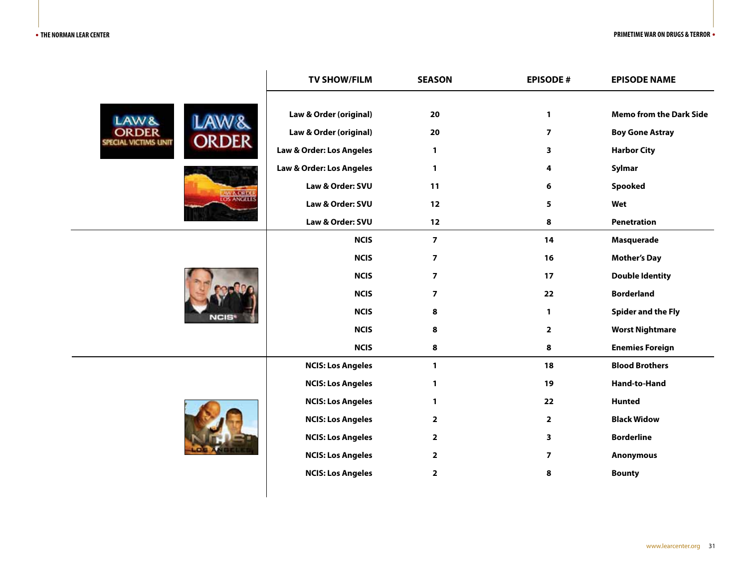#### • **THE NORMAN LEAR CENTER PRIMETIME WAR ON DRUGS & TERROR** •

|  |                                                                                                          | <b>TV SHOW/FILM</b>      | <b>SEASON</b>           | <b>EPISODE#</b>         | <b>EPISODE NAME</b>            |
|--|----------------------------------------------------------------------------------------------------------|--------------------------|-------------------------|-------------------------|--------------------------------|
|  | LAW <sub>&amp;</sub><br>OR DE R<br>ORDER<br>PECIAL VICTIMS UNIT<br><b>LAW &amp; ORDER</b><br>LOS ANGELES | Law & Order (original)   | 20                      | $\mathbf{1}$            | <b>Memo from the Dark Side</b> |
|  |                                                                                                          | Law & Order (original)   | 20                      | $\overline{7}$          | <b>Boy Gone Astray</b>         |
|  |                                                                                                          | Law & Order: Los Angeles | 1                       | 3                       | <b>Harbor City</b>             |
|  |                                                                                                          | Law & Order: Los Angeles | $\mathbf{1}$            | 4                       | Sylmar                         |
|  |                                                                                                          | Law & Order: SVU         | 11                      | 6                       | <b>Spooked</b>                 |
|  |                                                                                                          | Law & Order: SVU         | 12                      | 5                       | Wet                            |
|  |                                                                                                          | Law & Order: SVU         | 12                      | 8                       | <b>Penetration</b>             |
|  | NCIS                                                                                                     | <b>NCIS</b>              | $\overline{7}$          | 14                      | <b>Masquerade</b>              |
|  |                                                                                                          | <b>NCIS</b>              | $\overline{\mathbf{z}}$ | 16                      | <b>Mother's Day</b>            |
|  |                                                                                                          | <b>NCIS</b>              | $\overline{\mathbf{z}}$ | 17                      | <b>Double Identity</b>         |
|  |                                                                                                          | <b>NCIS</b>              | $\overline{\mathbf{z}}$ | 22                      | <b>Borderland</b>              |
|  |                                                                                                          | <b>NCIS</b>              | 8                       | $\mathbf{1}$            | <b>Spider and the Fly</b>      |
|  |                                                                                                          | <b>NCIS</b>              | 8                       | $\overline{2}$          | <b>Worst Nightmare</b>         |
|  |                                                                                                          | <b>NCIS</b>              | 8                       | 8                       | <b>Enemies Foreign</b>         |
|  |                                                                                                          | <b>NCIS: Los Angeles</b> | $\mathbf{1}$            | 18                      | <b>Blood Brothers</b>          |
|  |                                                                                                          | <b>NCIS: Los Angeles</b> | 1                       | 19                      | Hand-to-Hand                   |
|  |                                                                                                          | <b>NCIS: Los Angeles</b> | $\mathbf{1}$            | 22                      | <b>Hunted</b>                  |
|  |                                                                                                          | <b>NCIS: Los Angeles</b> | $\mathbf{2}$            | $\mathbf{2}$            | <b>Black Widow</b>             |
|  |                                                                                                          | <b>NCIS: Los Angeles</b> | $\mathbf{2}$            | 3                       | <b>Borderline</b>              |
|  |                                                                                                          | <b>NCIS: Los Angeles</b> | $\mathbf{2}$            | $\overline{\mathbf{z}}$ | <b>Anonymous</b>               |
|  |                                                                                                          | <b>NCIS: Los Angeles</b> | $\mathbf{2}$            | 8                       | <b>Bounty</b>                  |
|  |                                                                                                          |                          |                         |                         |                                |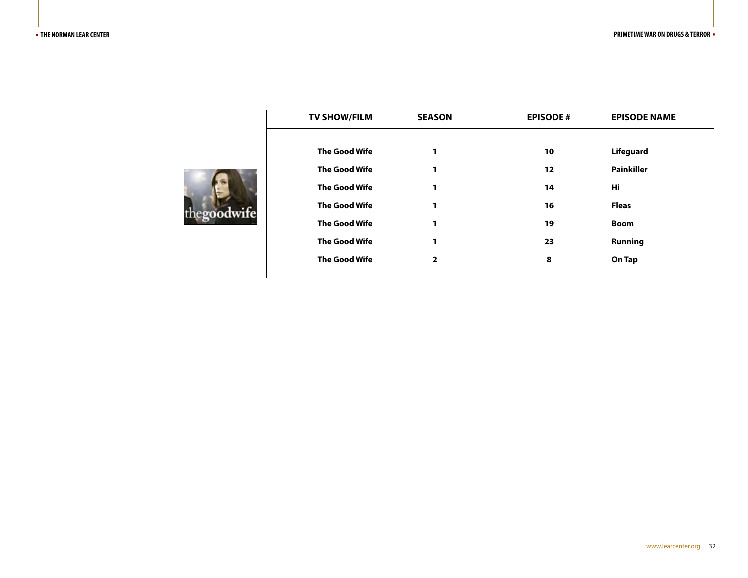| roodwife |  |
|----------|--|

| <b>TV SHOW/FILM</b>  | <b>SEASON</b> | <b>EPISODE#</b> | <b>EPISODE NAME</b> |  |
|----------------------|---------------|-----------------|---------------------|--|
|                      |               |                 |                     |  |
| <b>The Good Wife</b> | 1             | 10              | <b>Lifeguard</b>    |  |
| <b>The Good Wife</b> | 1             | 12              | <b>Painkiller</b>   |  |
| <b>The Good Wife</b> | 1             | 14              | Hi                  |  |
| <b>The Good Wife</b> | 1             | 16              | <b>Fleas</b>        |  |
| <b>The Good Wife</b> | 1             | 19              | <b>Boom</b>         |  |
| <b>The Good Wife</b> | 1             | 23              | <b>Running</b>      |  |
| <b>The Good Wife</b> | 2             | 8               | On Tap              |  |